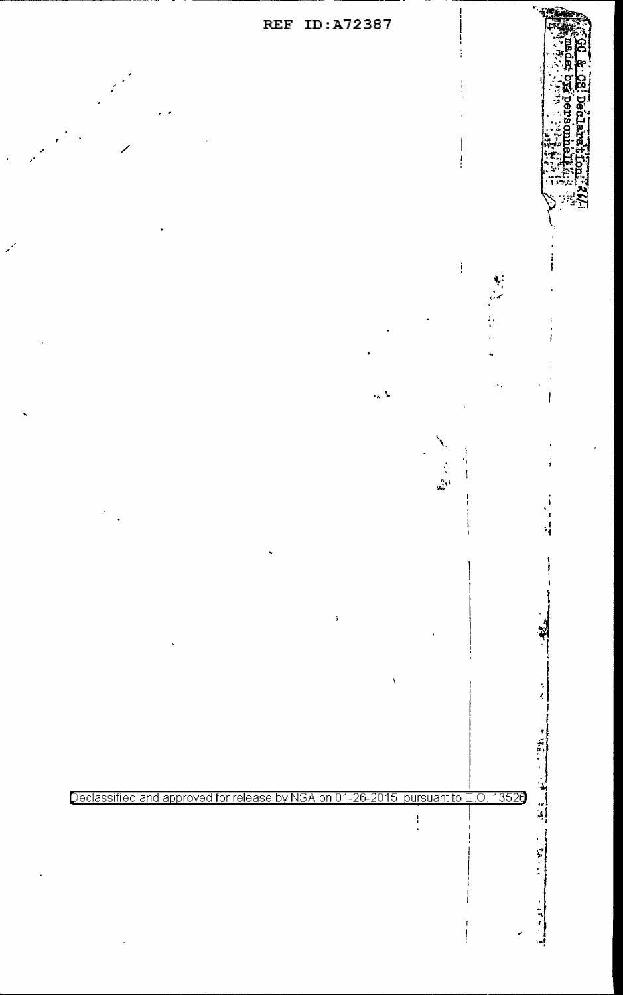